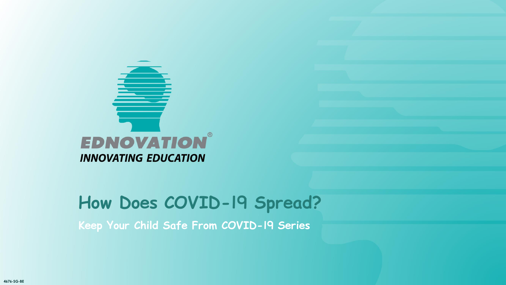

**Keep Your Child Safe From COVID-19 Series**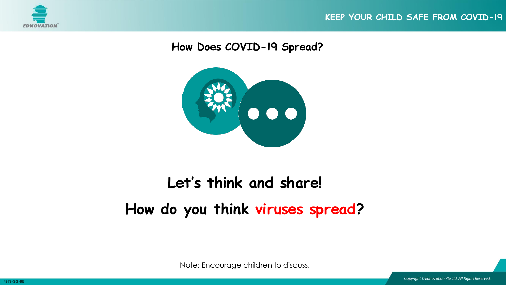





# **Let's think and share! How do you think viruses spread?**

Note: Encourage children to discuss.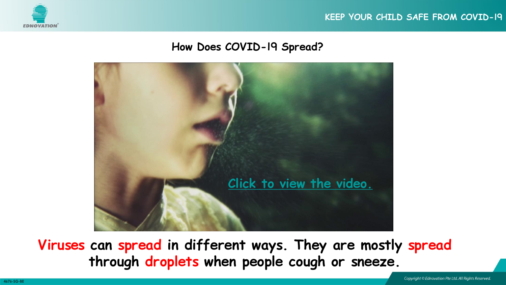





**Viruses can spread in different ways. They are mostly spread through droplets when people cough or sneeze.**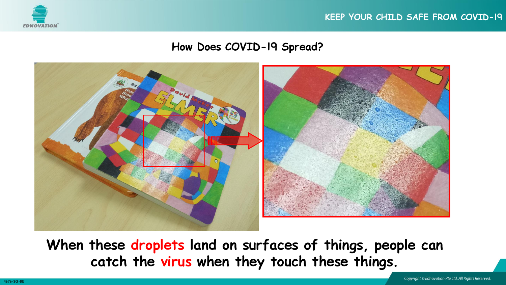





**When these droplets land on surfaces of things, people can catch the virus when they touch these things.**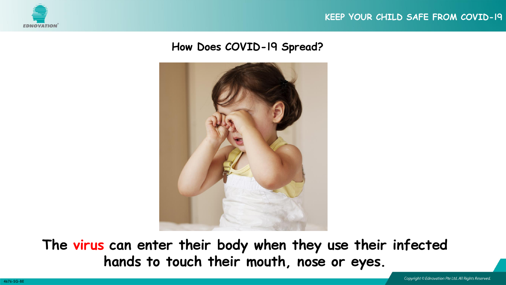



**The virus can enter their body when they use their infected hands to touch their mouth, nose or eyes.**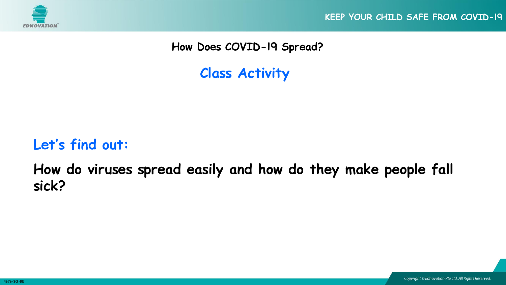

**KEEP YOUR CHILD SAFE FROM COVID-19**

**How Does COVID-19 Spread?** 

**Class Activity**

### **Let's find out:**

**How do viruses spread easily and how do they make people fall sick?**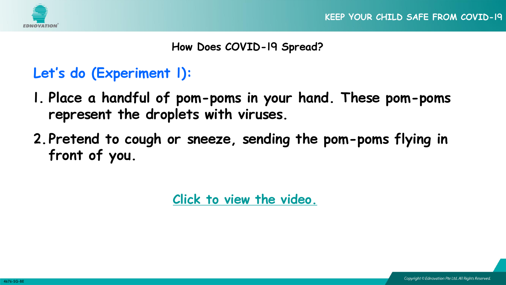

### **Let's do (Experiment 1):**

- **1. Place a handful of pom-poms in your hand. These pom-poms represent the droplets with viruses.**
- **2.Pretend to cough or sneeze, sending the pom-poms flying in front of you.**

**[Click to view the video.](https://youtu.be/wGDQlTGxiAw)**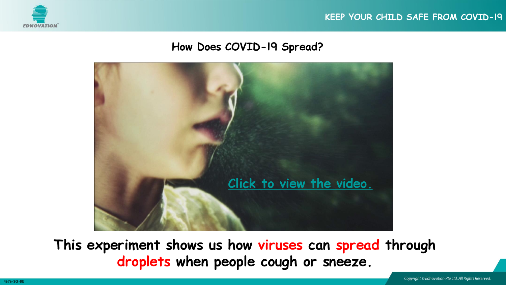





**This experiment shows us how viruses can spread through droplets when people cough or sneeze.**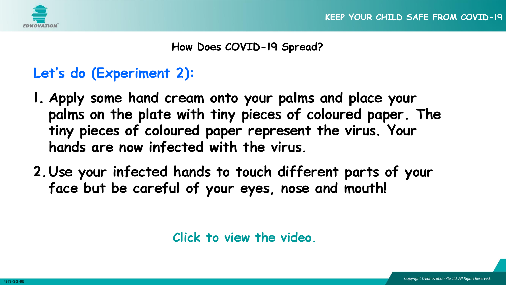

### **Let's do (Experiment 2):**

- **1. Apply some hand cream onto your palms and place your palms on the plate with tiny pieces of coloured paper. The tiny pieces of coloured paper represent the virus. Your hands are now infected with the virus.**
- **2.Use your infected hands to touch different parts of your face but be careful of your eyes, nose and mouth!**

**[Click to view the video.](https://youtu.be/ebmUepBefVo)**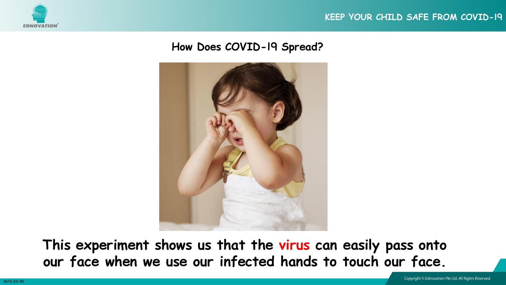



**This experiment shows us that the virus can easily pass onto our face when we use our infected hands to touch our face.**